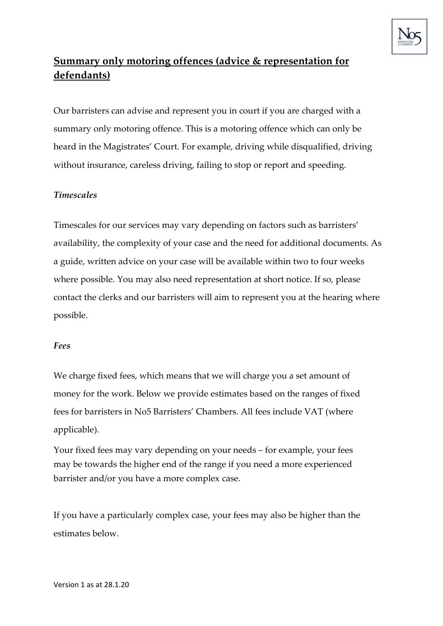

## **Summary only motoring offences (advice & representation for defendants)**

Our barristers can advise and represent you in court if you are charged with a summary only motoring offence. This is a motoring offence which can only be heard in the Magistrates' Court. For example, driving while disqualified, driving without insurance, careless driving, failing to stop or report and speeding.

## *Timescales*

Timescales for our services may vary depending on factors such as barristers' availability, the complexity of your case and the need for additional documents. As a guide, written advice on your case will be available within two to four weeks where possible. You may also need representation at short notice. If so, please contact the clerks and our barristers will aim to represent you at the hearing where possible.

## *Fees*

We charge fixed fees, which means that we will charge you a set amount of money for the work. Below we provide estimates based on the ranges of fixed fees for barristers in No5 Barristers' Chambers. All fees include VAT (where applicable).

Your fixed fees may vary depending on your needs – for example, your fees may be towards the higher end of the range if you need a more experienced barrister and/or you have a more complex case.

If you have a particularly complex case, your fees may also be higher than the estimates below.